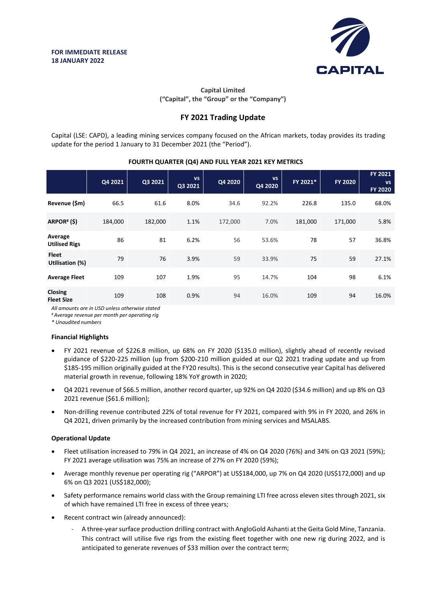

## **Capital Limited ("Capital", the "Group" or the "Company")**

# **FY 2021 Trading Update**

Capital (LSE: CAPD), a leading mining services company focused on the African markets, today provides its trading update for the period 1 January to 31 December 2021 (the "Period").

## **FOURTH QUARTER (Q4) AND FULL YEAR 2021 KEY METRICS**

|                                 | Q4 2021 | Q3 2021 | <b>VS</b><br>Q3 2021 | Q4 2020 | <b>VS</b><br>Q4 2020 | FY 2021* | <b>FY 2020</b> | FY 2021<br><b>VS</b><br><b>FY 2020</b> |
|---------------------------------|---------|---------|----------------------|---------|----------------------|----------|----------------|----------------------------------------|
| Revenue (\$m)                   | 66.5    | 61.6    | 8.0%                 | 34.6    | 92.2%                | 226.8    | 135.0          | 68.0%                                  |
| ARPOR#(\$)                      | 184,000 | 182,000 | 1.1%                 | 172,000 | 7.0%                 | 181,000  | 171,000        | 5.8%                                   |
| Average<br><b>Utilised Rigs</b> | 86      | 81      | 6.2%                 | 56      | 53.6%                | 78       | 57             | 36.8%                                  |
| <b>Fleet</b><br>Utilisation (%) | 79      | 76      | 3.9%                 | 59      | 33.9%                | 75       | 59             | 27.1%                                  |
| <b>Average Fleet</b>            | 109     | 107     | 1.9%                 | 95      | 14.7%                | 104      | 98             | 6.1%                                   |
| Closing<br><b>Fleet Size</b>    | 109     | 108     | 0.9%                 | 94      | 16.0%                | 109      | 94             | 16.0%                                  |

*All amounts are in USD unless otherwise stated*

*# Average revenue per month per operating rig*

*\* Unaudited numbers*

### **Financial Highlights**

- FY 2021 revenue of \$226.8 million, up 68% on FY 2020 (\$135.0 million), slightly ahead of recently revised guidance of \$220-225 million (up from \$200-210 million guided at our Q2 2021 trading update and up from \$185-195 million originally guided at the FY20 results). This is the second consecutive year Capital has delivered material growth in revenue, following 18% YoY growth in 2020;
- Q4 2021 revenue of \$66.5 million, another record quarter, up 92% on Q4 2020 (\$34.6 million) and up 8% on Q3 2021 revenue (\$61.6 million);
- Non-drilling revenue contributed 22% of total revenue for FY 2021, compared with 9% in FY 2020, and 26% in Q4 2021, driven primarily by the increased contribution from mining services and MSALABS.

### **Operational Update**

- Fleet utilisation increased to 79% in Q4 2021, an increase of 4% on Q4 2020 (76%) and 34% on Q3 2021 (59%); FY 2021 average utilisation was 75% an increase of 27% on FY 2020 (59%);
- Average monthly revenue per operating rig ("ARPOR") at US\$184,000, up 7% on Q4 2020 (US\$172,000) and up 6% on Q3 2021 (US\$182,000);
- Safety performance remains world class with the Group remaining LTI free across eleven sites through 2021, six of which have remained LTI free in excess of three years;
- Recent contract win (already announced):
	- A three-year surface production drilling contract with AngloGold Ashanti at the Geita Gold Mine, Tanzania. This contract will utilise five rigs from the existing fleet together with one new rig during 2022, and is anticipated to generate revenues of \$33 million over the contract term;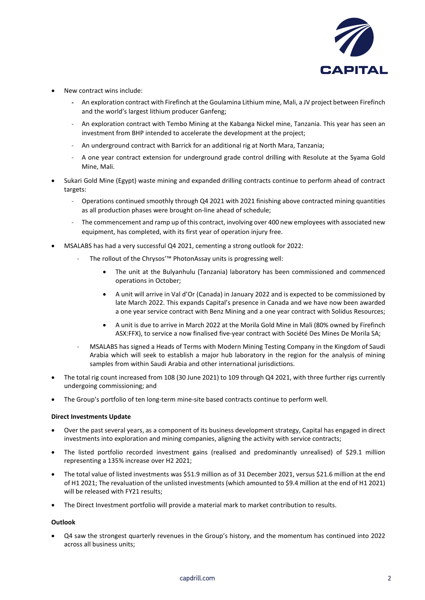

- New contract wins include:
	- An exploration contract with Firefinch at the Goulamina Lithium mine, Mali, a JV project between Firefinch and the world's largest lithium producer Ganfeng;
	- An exploration contract with Tembo Mining at the Kabanga Nickel mine, Tanzania. This year has seen an investment from BHP intended to accelerate the development at the project;
	- An underground contract with Barrick for an additional rig at North Mara, Tanzania;
	- A one year contract extension for underground grade control drilling with Resolute at the Syama Gold Mine, Mali.
- Sukari Gold Mine (Egypt) waste mining and expanded drilling contracts continue to perform ahead of contract targets:
	- Operations continued smoothly through Q4 2021 with 2021 finishing above contracted mining quantities as all production phases were brought on-line ahead of schedule;
	- The commencement and ramp up of this contract, involving over 400 new employees with associated new equipment, has completed, with its first year of operation injury free.
- MSALABS has had a very successful Q4 2021, cementing a strong outlook for 2022:
	- The rollout of the Chrysos'™ PhotonAssay units is progressing well:
		- The unit at the Bulyanhulu (Tanzania) laboratory has been commissioned and commenced operations in October;
		- A unit will arrive in Val d'Or (Canada) in January 2022 and is expected to be commissioned by late March 2022. This expands Capital's presence in Canada and we have now been awarded a one year service contract with Benz Mining and a one year contract with Solidus Resources;
		- A unit is due to arrive in March 2022 at the Morila Gold Mine in Mali (80% owned by Firefinch ASX:FFX), to service a now finalised five-year contract with Société Des Mines De Morila SA;
	- MSALABS has signed a Heads of Terms with Modern Mining Testing Company in the Kingdom of Saudi Arabia which will seek to establish a major hub laboratory in the region for the analysis of mining samples from within Saudi Arabia and other international jurisdictions.
- The total rig count increased from 108 (30 June 2021) to 109 through Q4 2021, with three further rigs currently undergoing commissioning; and
- The Group's portfolio of ten long-term mine-site based contracts continue to perform well.

### **Direct Investments Update**

- Over the past several years, as a component of its business development strategy, Capital has engaged in direct investments into exploration and mining companies, aligning the activity with service contracts;
- The listed portfolio recorded investment gains (realised and predominantly unrealised) of \$29.1 million representing a 135% increase over H2 2021;
- The total value of listed investments was \$51.9 million as of 31 December 2021, versus \$21.6 million at the end of H1 2021; The revaluation of the unlisted investments (which amounted to \$9.4 million at the end of H1 2021) will be released with FY21 results;
- The Direct Investment portfolio will provide a material mark to market contribution to results.

#### **Outlook**

• Q4 saw the strongest quarterly revenues in the Group's history, and the momentum has continued into 2022 across all business units;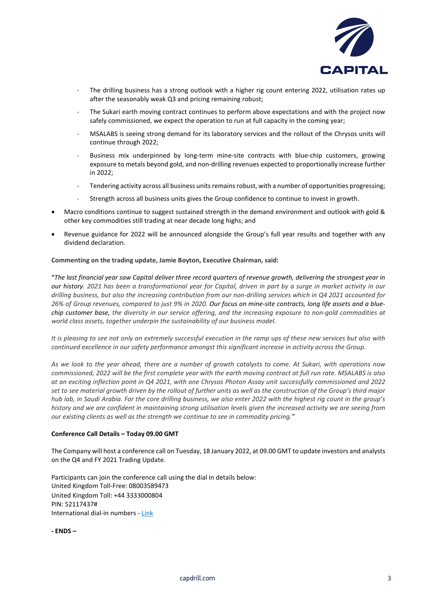

- The drilling business has a strong outlook with a higher rig count entering 2022, utilisation rates up after the seasonably weak Q3 and pricing remaining robust;
- The Sukari earth moving contract continues to perform above expectations and with the project now safely commissioned, we expect the operation to run at full capacity in the coming year;
- MSALABS is seeing strong demand for its laboratory services and the rollout of the Chrysos units will continue through 2022;
- Business mix underpinned by long-term mine-site contracts with blue-chip customers, growing exposure to metals beyond gold, and non-drilling revenues expected to proportionally increase further in 2022;
- Tendering activity across all business units remains robust, with a number of opportunities progressing;
- Strength across all business units gives the Group confidence to continue to invest in growth.
- Macro conditions continue to suggest sustained strength in the demand environment and outlook with gold & other key commodities still trading at near decade long highs; and
- Revenue guidance for 2022 will be announced alongside the Group's full year results and together with any dividend declaration.

#### **Commenting on the trading update, Jamie Boyton, Executive Chairman, said:**

**"***The last financial year saw Capital deliver three record quarters of revenue growth, delivering the strongest year in our history. 2021 has been a transformational year for Capital, driven in part by a surge in market activity in our drilling business, but also the increasing contribution from our non-drilling services which in Q4 2021 accounted for 26% of Group revenues, compared to just 9% in 2020. Our focus on mine-site contracts, long life assets and a bluechip customer base, the diversity in our service offering, and the increasing exposure to non-gold commodities at world class assets, together underpin the sustainability of our business model.*

*It is pleasing to see not only an extremely successful execution in the ramp ups of these new services but also with continued excellence in our safety performance amongst this significant increase in activity across the Group.* 

*As we look to the year ahead, there are a number of growth catalysts to come. At Sukari, with operations now commissioned, 2022 will be the first complete year with the earth moving contract at full run rate. MSALABS is also at an exciting inflection point in Q4 2021, with one Chrysos Photon Assay unit successfully commissioned and 2022 set to see material growth driven by the rollout of further units as well as the construction of the Group's third major hub lab, in Saudi Arabia. For the core drilling business, we also enter 2022 with the highest rig count in the group's history and we are confident in maintaining strong utilisation levels given the increased activity we are seeing from our existing clients as well as the strength we continue to see in commodity pricing."*

#### **Conference Call Details – Today 09.00 GMT**

The Company will host a conference call on Tuesday, 18 January 2022, at 09.00 GMT to update investors and analysts on the Q4 and FY 2021 Trading Update.

Participants can join the conference call using the dial in details below: United Kingdom Toll-Free: 08003589473 United Kingdom Toll: +44 3333000804 PIN: 52117437# International dial-in numbers - [Link](https://urldefense.proofpoint.com/v2/url?u=https-3A__events-2Dftp.arkadin.com_ev_docs_NE-5FW2-5FTF-5FEvents-5FInternational-5FAccess-5FList.pdf&d=DwMGaQ&c=24Pv9SDmf15C3K1GQEblf0-dR4hG0m_5jejOBrkAV6M&r=7EZXAV52PYrKZZf88jkL-d6mahROTN4YeaxC7jrgDG4&m=-p53C4_KUM_i6DAm3DV92mN2n_OllbUN0X62CT45aoQzYfPscN78hdh2pCIRJMSp&s=2-9rwRMM-objfAk5SdW-cfPHOIQ7l9wp03IOTVgRHhc&e=)

**- ENDS –**